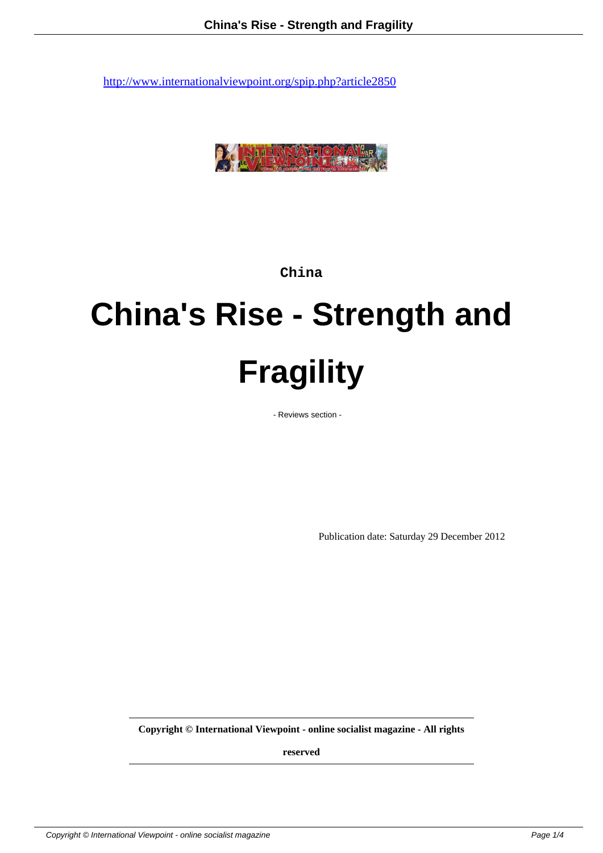

**China**

# **China's Rise - Strength and Fragility**

- Reviews section -

Publication date: Saturday 29 December 2012

**Copyright © International Viewpoint - online socialist magazine - All rights**

**reserved**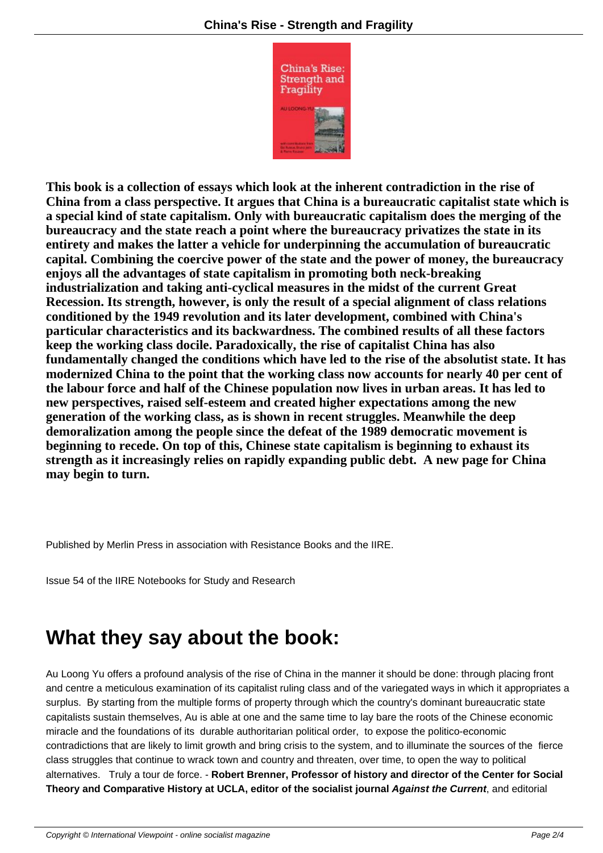

**This book is a collection of essays which [look at the inh](IMG/jpg/China-12mm-v7_Merlin-4-679x1024.jpg)erent contradiction in the rise of China from a class perspective. It argues that China is a bureaucratic capitalist state which is a special kind of state capitalism. Only with bureaucratic capitalism does the merging of the bureaucracy and the state reach a point where the bureaucracy privatizes the state in its entirety and makes the latter a vehicle for underpinning the accumulation of bureaucratic capital. Combining the coercive power of the state and the power of money, the bureaucracy enjoys all the advantages of state capitalism in promoting both neck-breaking industrialization and taking anti-cyclical measures in the midst of the current Great Recession. Its strength, however, is only the result of a special alignment of class relations conditioned by the 1949 revolution and its later development, combined with China's particular characteristics and its backwardness. The combined results of all these factors keep the working class docile. Paradoxically, the rise of capitalist China has also fundamentally changed the conditions which have led to the rise of the absolutist state. It has modernized China to the point that the working class now accounts for nearly 40 per cent of the labour force and half of the Chinese population now lives in urban areas. It has led to new perspectives, raised self-esteem and created higher expectations among the new generation of the working class, as is shown in recent struggles. Meanwhile the deep demoralization among the people since the defeat of the 1989 democratic movement is beginning to recede. On top of this, Chinese state capitalism is beginning to exhaust its strength as it increasingly relies on rapidly expanding public debt. A new page for China may begin to turn.**

Published by Merlin Press in association with Resistance Books and the IIRE.

Issue 54 of the IIRE Notebooks for Study and Research

## **What they say about the book:**

Au Loong Yu offers a profound analysis of the rise of China in the manner it should be done: through placing front and centre a meticulous examination of its capitalist ruling class and of the variegated ways in which it appropriates a surplus. By starting from the multiple forms of property through which the country's dominant bureaucratic state capitalists sustain themselves, Au is able at one and the same time to lay bare the roots of the Chinese economic miracle and the foundations of its durable authoritarian political order, to expose the politico-economic contradictions that are likely to limit growth and bring crisis to the system, and to illuminate the sources of the fierce class struggles that continue to wrack town and country and threaten, over time, to open the way to political alternatives. Truly a tour de force. - **Robert Brenner, Professor of history and director of the Center for Social Theory and Comparative History at UCLA, editor of the socialist journal Against the Current**, and editorial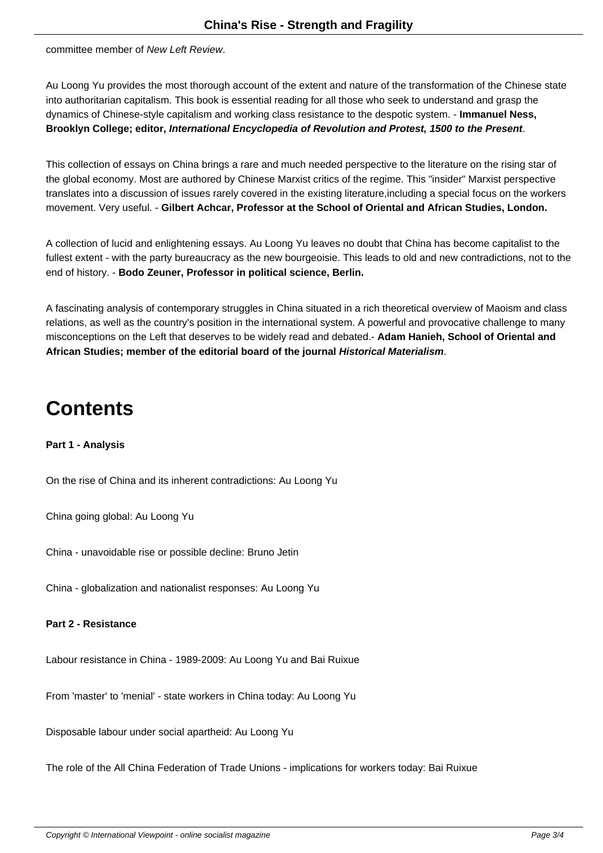committee member of New Left Review.

Au Loong Yu provides the most thorough account of the extent and nature of the transformation of the Chinese state into authoritarian capitalism. This book is essential reading for all those who seek to understand and grasp the dynamics of Chinese-style capitalism and working class resistance to the despotic system. - **Immanuel Ness, Brooklyn College; editor, International Encyclopedia of Revolution and Protest, 1500 to the Present**.

This collection of essays on China brings a rare and much needed perspective to the literature on the rising star of the global economy. Most are authored by Chinese Marxist critics of the regime. This "insider" Marxist perspective translates into a discussion of issues rarely covered in the existing literature,including a special focus on the workers movement. Very useful. - **Gilbert Achcar, Professor at the School of Oriental and African Studies, London.**

A collection of lucid and enlightening essays. Au Loong Yu leaves no doubt that China has become capitalist to the fullest extent - with the party bureaucracy as the new bourgeoisie. This leads to old and new contradictions, not to the end of history. - **Bodo Zeuner, Professor in political science, Berlin.**

A fascinating analysis of contemporary struggles in China situated in a rich theoretical overview of Maoism and class relations, as well as the country's position in the international system. A powerful and provocative challenge to many misconceptions on the Left that deserves to be widely read and debated.- **Adam Hanieh, School of Oriental and African Studies; member of the editorial board of the journal Historical Materialism**.

## **Contents**

**Part 1 - Analysis**

On the rise of China and its inherent contradictions: Au Loong Yu

China going global: Au Loong Yu

China - unavoidable rise or possible decline: Bruno Jetin

China - globalization and nationalist responses: Au Loong Yu

#### **Part 2 - Resistance**

Labour resistance in China - 1989-2009: Au Loong Yu and Bai Ruixue

From 'master' to 'menial' - state workers in China today: Au Loong Yu

Disposable labour under social apartheid: Au Loong Yu

The role of the All China Federation of Trade Unions - implications for workers today: Bai Ruixue